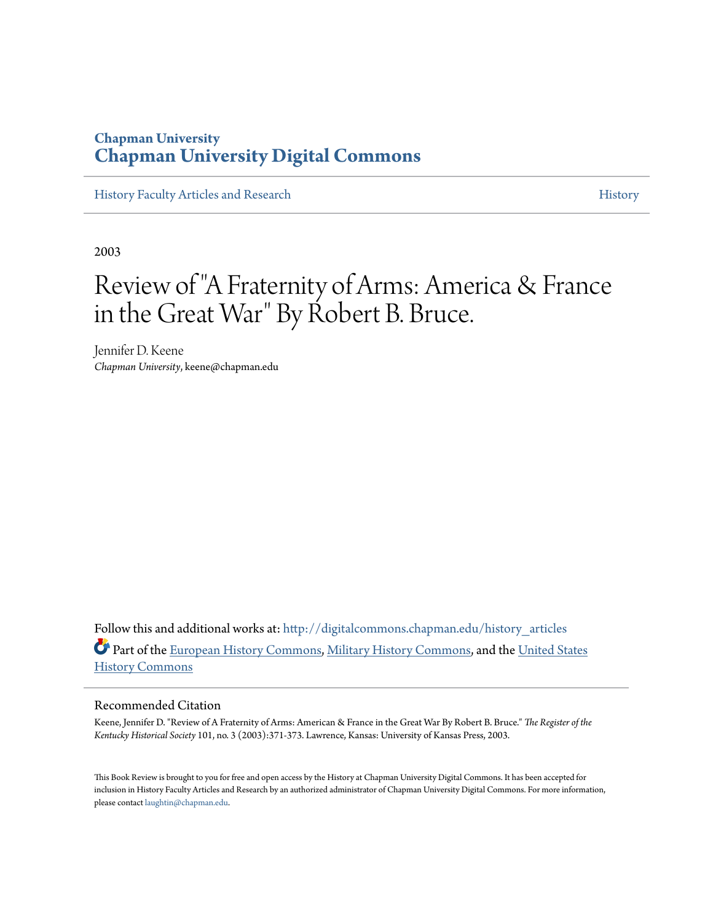### **Chapman University [Chapman University Digital Commons](http://digitalcommons.chapman.edu?utm_source=digitalcommons.chapman.edu%2Fhistory_articles%2F23&utm_medium=PDF&utm_campaign=PDFCoverPages)**

[History Faculty Articles and Research](http://digitalcommons.chapman.edu/history_articles?utm_source=digitalcommons.chapman.edu%2Fhistory_articles%2F23&utm_medium=PDF&utm_campaign=PDFCoverPages) [History](http://digitalcommons.chapman.edu/history?utm_source=digitalcommons.chapman.edu%2Fhistory_articles%2F23&utm_medium=PDF&utm_campaign=PDFCoverPages) History

2003

# Review of "A Fraternity of Arms: America & France in the Great War" By Robert B. Bruce.

Jennifer D. Keene *Chapman University*, keene@chapman.edu

Follow this and additional works at: [http://digitalcommons.chapman.edu/history\\_articles](http://digitalcommons.chapman.edu/history_articles?utm_source=digitalcommons.chapman.edu%2Fhistory_articles%2F23&utm_medium=PDF&utm_campaign=PDFCoverPages) Part of the [European History Commons](http://network.bepress.com/hgg/discipline/492?utm_source=digitalcommons.chapman.edu%2Fhistory_articles%2F23&utm_medium=PDF&utm_campaign=PDFCoverPages), [Military History Commons](http://network.bepress.com/hgg/discipline/504?utm_source=digitalcommons.chapman.edu%2Fhistory_articles%2F23&utm_medium=PDF&utm_campaign=PDFCoverPages), and the [United States](http://network.bepress.com/hgg/discipline/495?utm_source=digitalcommons.chapman.edu%2Fhistory_articles%2F23&utm_medium=PDF&utm_campaign=PDFCoverPages) [History Commons](http://network.bepress.com/hgg/discipline/495?utm_source=digitalcommons.chapman.edu%2Fhistory_articles%2F23&utm_medium=PDF&utm_campaign=PDFCoverPages)

#### Recommended Citation

Keene, Jennifer D. "Review of A Fraternity of Arms: American & France in the Great War By Robert B. Bruce." *The Register of the Kentucky Historical Society* 101, no. 3 (2003):371-373. Lawrence, Kansas: University of Kansas Press, 2003.

This Book Review is brought to you for free and open access by the History at Chapman University Digital Commons. It has been accepted for inclusion in History Faculty Articles and Research by an authorized administrator of Chapman University Digital Commons. For more information, please contact [laughtin@chapman.edu.](mailto:laughtin@chapman.edu)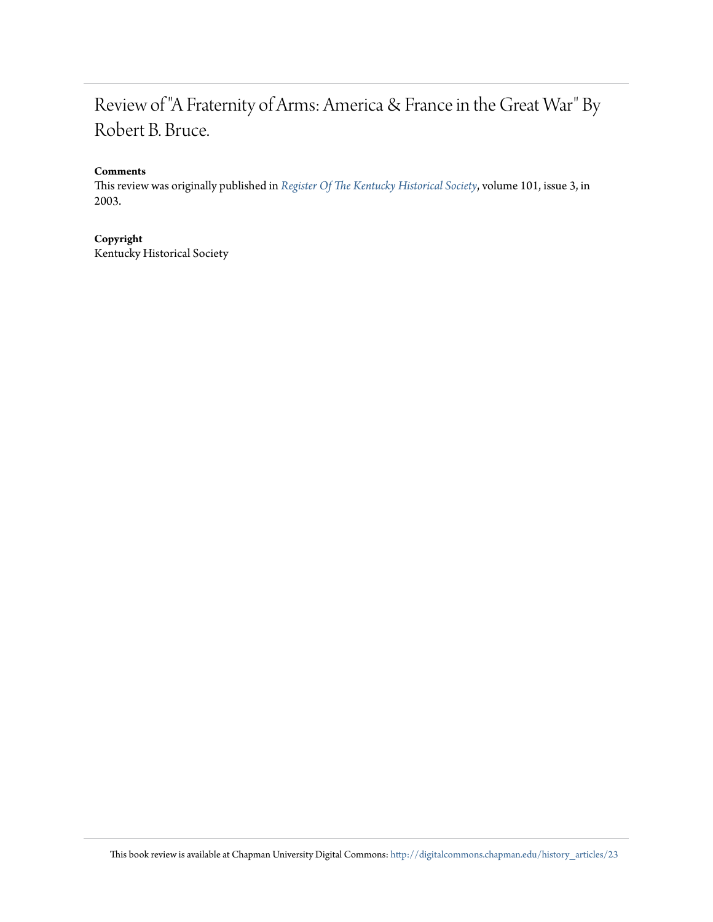## Review of "A Fraternity of Arms: America & France in the Great War" By Robert B. Bruce.

#### **Comments**

This review was originally published in *[Register Of The Kentucky Historical Society](http://history.ky.gov/the-register-of-the-kentucky-historical-society/)*, volume 101, issue 3, in 2003.

#### **Copyright**

Kentucky Historical Society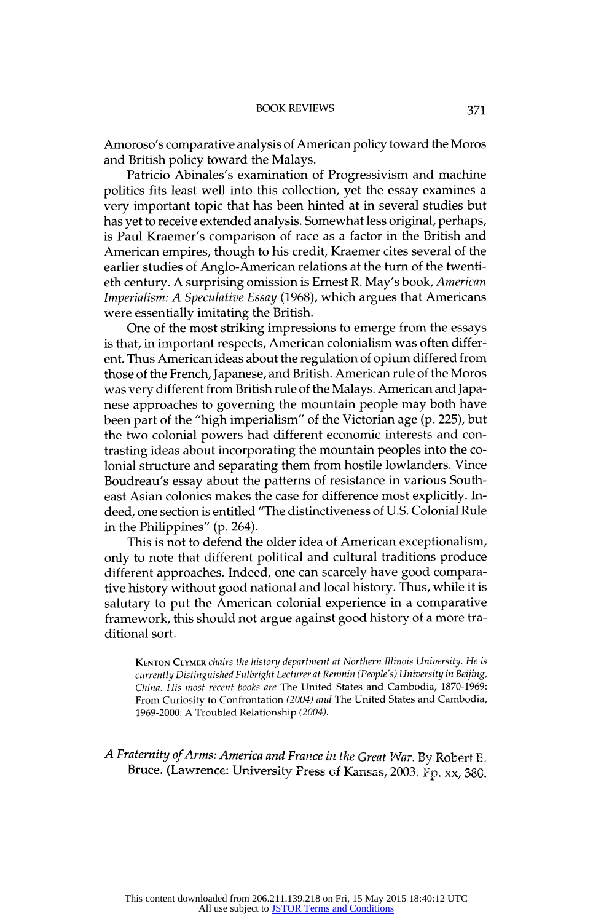#### A Fraternity of Arms: America and France in the Great War. By Robert E. Bruce. (Lawrence: University Press of Kansas, 2003. Fp. xx, 380.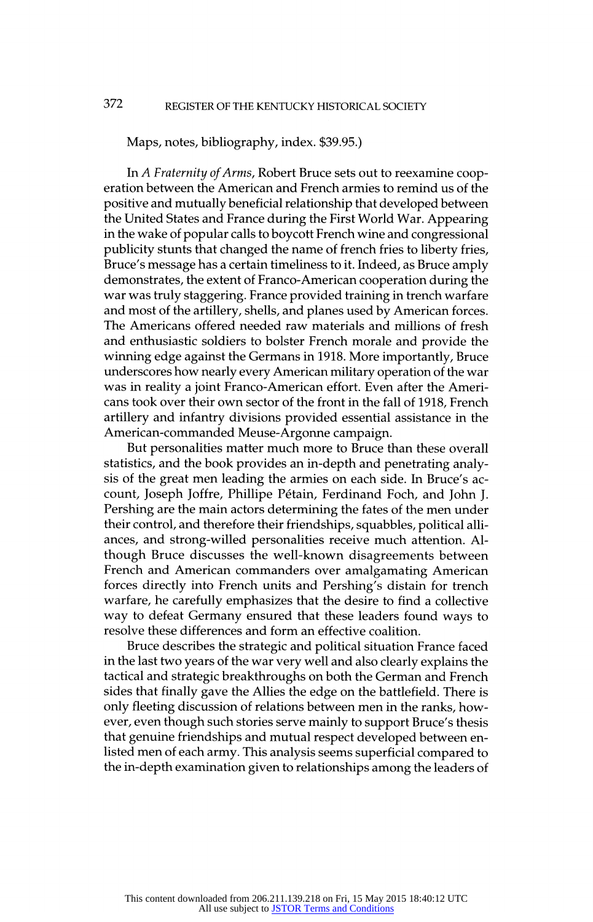#### Maps, notes, bibliography, index. \$39.95.)

In A Fraternity of Arms, Robert Bruce sets out to reexamine coop eration between the American and French armies to remind us of the positive and mutually beneficial relationship that developed between the United States and France during the First World War. Appearing in the wake of popular calls to boycott French wine and congressional publicity stunts that changed the name of french fries to liberty fries, Bruce's message has a certain timeliness to it. Indeed, as Bruce amply demonstrates, the extent of Franco-American cooperation during the war was truly staggering. France provided training in trench warfare and most of the artillery, shells, and planes used by American forces. The Americans offered needed raw materials and millions of fresh and enthusiastic soldiers to bolster French morale and provide the winning edge against the Germans in 1918. More importantly, Bruce underscores how nearly every American military operation of the war was in reality a joint Franco-American effort. Even after the Ameri cans took over their own sector of the front in the fall of 1918, French artillery and infantry divisions provided essential assistance in the American-commanded Meuse-Argonne campaign.

But personalities matter much more to Bruce than these overall statistics, and the book provides an in-depth and penetrating analy sis of the great men leading the armies on each side. In Bruce's ac count, Joseph Joffre, Phillipe Pétain, Ferdinand Foch, and John J. Pershing are the main actors determining the fates of the men under their control, and therefore their friendships, squabbles, political alli ances, and strong-willed personalities receive much attention. Al though Bruce discusses the well-known disagreements between French and American commanders over amalgamating American forces directly into French units and Pershing's distain for trench warfare, he carefully emphasizes that the desire to find a collective way to defeat Germany ensured that these leaders found ways to resolve these differences and form an effective coalition.

Bruce describes the strategic and political situation France faced in the last two years of the war very well and also clearly explains the tactical and strategic breakthroughs on both the German and French sides that finally gave the Allies the edge on the battlefield. There is only fleeting discussion of relations between men in the ranks, how ever, even though such stories serve mainly to support Bruce's thesis that genuine friendships and mutual respect developed between en listed men of each army. This analysis seems superficial compared to the in-depth examination given to relationships among the leaders of